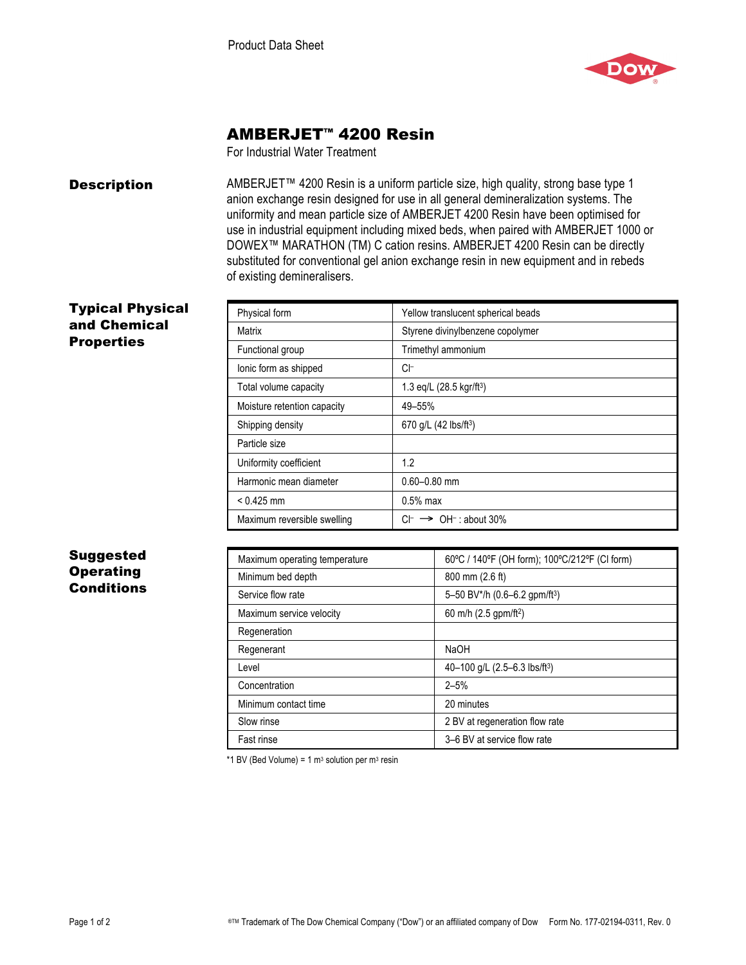

# AMBERJET™ 4200 Resin

For Industrial Water Treatment

**Description** AMBERJET<sup>™</sup> 4200 Resin is a uniform particle size, high quality, strong base type 1 anion exchange resin designed for use in all general demineralization systems. The uniformity and mean particle size of AMBERJET 4200 Resin have been optimised for use in industrial equipment including mixed beds, when paired with AMBERJET 1000 or DOWEX™ MARATHON (TM) C cation resins. AMBERJET 4200 Resin can be directly substituted for conventional gel anion exchange resin in new equipment and in rebeds of existing demineralisers.

## Typical Physical and Chemical **Properties**

| Physical form               | Yellow translucent spherical beads               |
|-----------------------------|--------------------------------------------------|
| Matrix                      | Styrene divinylbenzene copolymer                 |
| Functional group            | Trimethyl ammonium                               |
| lonic form as shipped       | CI-                                              |
| Total volume capacity       | 1.3 eq/L $(28.5 \text{ kg})$ r/ft <sup>3</sup> ) |
| Moisture retention capacity | 49-55%                                           |
| Shipping density            | 670 g/L (42 lbs/ft <sup>3</sup> )                |
| Particle size               |                                                  |
| Uniformity coefficient      | 1.2                                              |
| Harmonic mean diameter      | $0.60 - 0.80$ mm                                 |
| $< 0.425$ mm                | $0.5%$ max                                       |
| Maximum reversible swelling | $OH^-$ : about 30%<br>CF.<br>$\rightarrow$       |

# Suggested **Operating Conditions**

| Maximum operating temperature | 60°C / 140°F (OH form); 100°C/212°F (CI form) |
|-------------------------------|-----------------------------------------------|
| Minimum bed depth             | 800 mm (2.6 ft)                               |
| Service flow rate             | 5-50 BV*/h $(0.6-6.2$ gpm/ft <sup>3</sup> )   |
| Maximum service velocity      | 60 m/h (2.5 gpm/ft <sup>2</sup> )             |
| Regeneration                  |                                               |
| Regenerant                    | NaOH                                          |
| Level                         | 40-100 g/L (2.5-6.3 lbs/ft <sup>3</sup> )     |
| Concentration                 | $2 - 5%$                                      |
| Minimum contact time          | 20 minutes                                    |
| Slow rinse                    | 2 BV at regeneration flow rate                |
| Fast rinse                    | 3–6 BV at service flow rate                   |

\*1 BV (Bed Volume) = 1  $m<sup>3</sup>$  solution per  $m<sup>3</sup>$  resin